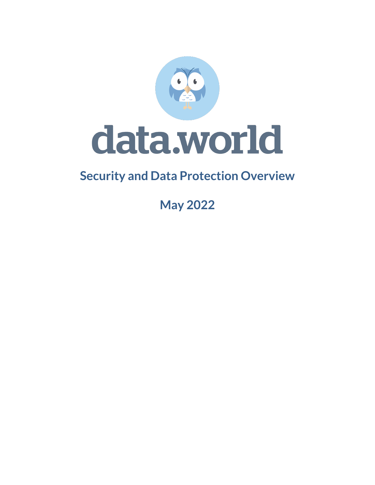

# **Security and Data Protection Overview**

**May 2022**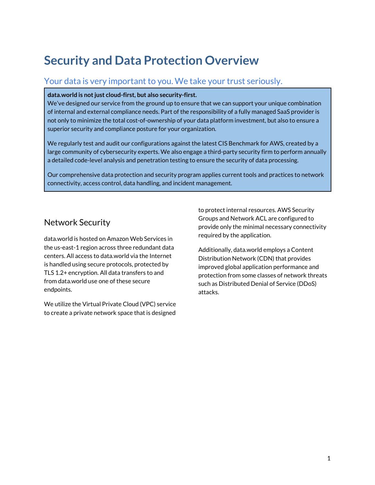# **Security and Data Protection Overview**

## Your data is very important to you. We take your trust seriously.

#### **data.world is not just cloud-first, but also security-first.**

We've designed our service from the ground up to ensure that we can support your unique combination of internal and external compliance needs. Part of the responsibility of a fully managed SaaS provider is not only to minimize the total cost-of-ownership of your data platform investment, but also to ensure a superior security and compliance posture for your organization.

We regularly test and audit our configurations against the latest CIS Benchmark for AWS, created by a large community of cybersecurity experts. We also engage a third-party security firm to perform annually a detailed code-level analysis and penetration testing to ensure the security of data processing.

Our comprehensive data protection and security program applies current tools and practices to network connectivity, access control, data handling, and incident management.

# Network Security

data.world is hosted on Amazon Web Services in the us-east-1 region across three redundant data centers. All access to data.world via the Internet is handled using secure protocols, protected by TLS 1.2+ encryption. All data transfers to and from data.world use one of these secure endpoints.

We utilize the Virtual Private Cloud (VPC) service to create a private network space that is designed

to protect internal resources. AWS Security Groups and Network ACL are configured to provide only the minimal necessary connectivity required by the application.

Additionally, data.world employs a Content Distribution Network (CDN) that provides improved global application performance and protection from some classes of network threats such as Distributed Denial of Service (DDoS) attacks.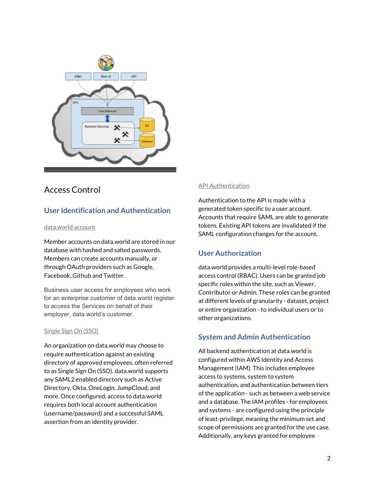

# Access Control

## **User Identification and Authentication**

#### data.world account

Member accounts on data.world are stored in our database with hashed and salted passwords. Members can create accounts manually, or through OAuth providers such as Google, Facebook, Github and Twitter.

Business user access for employees who work for an enterprise customer of data.world register to access the Services on behalf of their employer, data.world's customer.

#### Single Sign On (SSO)

An organization on data.world may choose to require authentication against an existing directory of approved employees, often referred to as Single Sign On (SSO). data.world supports any SAML2 enabled directory such as Active Directory, Okta, OneLogin, JumpCloud, and more. Once configured, access to data.world requires both local account authentication (username/password) and a successful SAML assertion from an identity provider.

#### API Authentication

Authentication to the API is made with a generated token specific to a user account. Accounts that require SAML are able to generate tokens. Existing API tokens are invalidated if the SAML configuration changes for the account.

### **User Authorization**

data.world provides a multi-level role-based access control (RBAC). Users can be granted job specific roles within the site, such as Viewer, Contributor or Admin. These roles can be granted at different levels of granularity - dataset, project or entire organization - to individual users or to other organizations.

### **System and Admin Authentication**

All backend authentication at data.world is configured within AWS Identity and Access Management (IAM). This includes employee access to systems, system to system authentication, and authentication between tiers of the application - such as between a web service and a database. The IAM profiles - for employees and systems - are configured using the principle of least-privilege, meaning the minimum set and scope of permissions are granted for the use case. Additionally, any keys granted for employee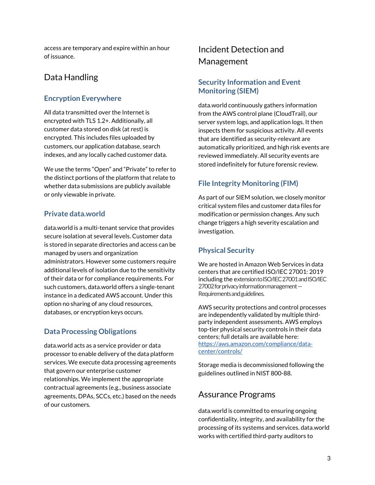access are temporary and expire within an hour of issuance.

# Data Handling

### **Encryption Everywhere**

All data transmitted over the Internet is encrypted with TLS 1.2+. Additionally, all customer data stored on disk (at rest) is encrypted. This includes files uploaded by customers, our application database, search indexes, and any locally cached customer data.

We use the terms "Open" and "Private" to refer to the distinct portions of the platform that relate to whether data submissions are publicly available or only viewable in private.

### **Private data.world**

data.world is a multi-tenant service that provides secure isolation at several levels. Customer data is stored in separate directories and access can be managed by users and organization administrators. However some customers require additional levels of isolation due to the sensitivity of their data or for compliance requirements. For such customers, data.world offers a single-tenant instance in a dedicated AWS account. Under this option no sharing of any cloud resources, databases, or encryption keys occurs.

### **Data Processing Obligations**

data.world acts as a service provider or data processor to enable delivery of the data platform services. We execute data processing agreements that govern our enterprise customer relationships. We implement the appropriate contractual agreements (e.g., business associate agreements, DPAs, SCCs, etc.) based on the needs of our customers.

# Incident Detection and Management

### **Security Information and Event Monitoring (SIEM)**

data.world continuously gathers information from the AWS control plane (CloudTrail), our server system logs, and application logs. It then inspects them for suspicious activity. All events that are identified as security-relevant are automatically prioritized, and high risk events are reviewed immediately. All security events are stored indefinitely for future forensic review.

## **File Integrity Monitoring (FIM)**

As part of our SIEM solution, we closely monitor critical system files and customer data files for modification or permission changes. Any such change triggers a high severity escalation and investigation.

## **Physical Security**

We are hosted in Amazon Web Services in data centers that are certified ISO/IEC 27001: 2019 including the extension to ISO/IEC 27001 and ISO/IEC 27002 for privacy information management — Requirements and guidelines.

AWS security protections and control processes are independently validated by multiple thirdparty independent assessments. AWS employs top-tier physical security controls in their data centers; full details are available here: [https://aws.amazon.com/compliance/data](https://aws.amazon.com/compliance/data-center/controls/)[center/controls/](https://aws.amazon.com/compliance/data-center/controls/)

Storage media is decommissioned following the guidelines outlined in NIST 800-88.

# Assurance Programs

data.world is committed to ensuring ongoing confidentiality, integrity, and availability for the processing of its systems and services. data.world works with certified third-party auditors to